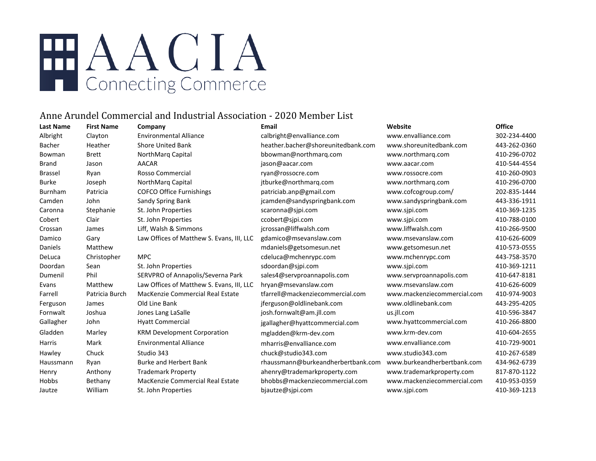# EHAACIA **T** Connecting Commerce

### Anne Arundel Commercial and Industrial Association - 2020 Member List

| Last Name | <b>First Name</b> | Company                                   | Email                              | Website                     | <b>Office</b> |
|-----------|-------------------|-------------------------------------------|------------------------------------|-----------------------------|---------------|
| Albright  | Clayton           | <b>Environmental Alliance</b>             | calbright@envalliance.com          | www.envalliance.com         | 302-234-4400  |
| Bacher    | Heather           | <b>Shore United Bank</b>                  | heather.bacher@shoreunitedbank.com | www.shoreunitedbank.com     | 443-262-0360  |
| Bowman    | <b>Brett</b>      | NorthMarg Capital                         | bbowman@northmarq.com              | www.northmarg.com           | 410-296-0702  |
| Brand     | Jason             | <b>AACAR</b>                              | jason@aacar.com                    | www.aacar.com               | 410-544-4554  |
| Brassel   | Ryan              | <b>Rosso Commercial</b>                   | ryan@rossocre.com                  | www.rossocre.com            | 410-260-0903  |
| Burke     | Joseph            | NorthMarq Capital                         | jtburke@northmarq.com              | www.northmarg.com           | 410-296-0700  |
| Burnham   | Patricia          | <b>COFCO Office Furnishings</b>           | patriciab.anp@gmail.com            | www.cofcogroup.com/         | 202-835-1444  |
| Camden    | John              | Sandy Spring Bank                         | jcamden@sandyspringbank.com        | www.sandyspringbank.com     | 443-336-1911  |
| Caronna   | Stephanie         | St. John Properties                       | scaronna@sjpi.com                  | www.sjpi.com                | 410-369-1235  |
| Cobert    | Clair             | St. John Properties                       | ccobert@sjpi.com                   | www.sjpi.com                | 410-788-0100  |
| Crossan   | James             | Liff, Walsh & Simmons                     | jcrossan@liffwalsh.com             | www.liffwalsh.com           | 410-266-9500  |
| Damico    | Gary              | Law Offices of Matthew S. Evans, III, LLC | gdamico@msevanslaw.com             | www.msevanslaw.com          | 410-626-6009  |
| Daniels   | Matthew           |                                           | mdaniels@getsomesun.net            | www.getsomesun.net          | 410-573-0555  |
| DeLuca    | Christopher       | <b>MPC</b>                                | cdeluca@mchenrypc.com              | www.mchenrypc.com           | 443-758-3570  |
| Doordan   | Sean              | St. John Properties                       | sdoordan@sjpi.com                  | www.sjpi.com                | 410-369-1211  |
| Dumenil   | Phil              | SERVPRO of Annapolis/Severna Park         | sales4@servproannapolis.com        | www.servproannapolis.com    | 410-647-8181  |
| Evans     | Matthew           | Law Offices of Matthew S. Evans, III, LLC | hryan@msevanslaw.com               | www.msevanslaw.com          | 410-626-6009  |
| Farrell   | Patricia Burch    | MacKenzie Commercial Real Estate          | tfarrell@mackenziecommercial.com   | www.mackenziecommercial.com | 410-974-9003  |
| Ferguson  | James             | Old Line Bank                             | jferguson@oldlinebank.com          | www.oldlinebank.com         | 443-295-4205  |
| Fornwalt  | Joshua            | Jones Lang LaSalle                        | josh.fornwalt@am.jll.com           | us.jll.com                  | 410-596-3847  |
| Gallagher | John              | <b>Hyatt Commercial</b>                   | jgallagher@hyattcommercial.com     | www.hyattcommercial.com     | 410-266-8800  |
| Gladden   | Marley            | <b>KRM Development Corporation</b>        | mgladden@krm-dev.com               | www.krm-dev.com             | 410-604-2655  |
| Harris    | Mark              | <b>Environmental Alliance</b>             | mharris@envalliance.com            | www.envalliance.com         | 410-729-9001  |
| Hawley    | Chuck             | Studio 343                                | chuck@studio343.com                | www.studio343.com           | 410-267-6589  |
| Haussmann | Ryan              | <b>Burke and Herbert Bank</b>             | rhaussmann@burkeandherbertbank.com | www.burkeandherbertbank.com | 434-962-6739  |
| Henry     | Anthony           | <b>Trademark Property</b>                 | ahenry@trademarkproperty.com       | www.trademarkproperty.com   | 817-870-1122  |
| Hobbs     | Bethany           | MacKenzie Commercial Real Estate          | bhobbs@mackenziecommercial.com     | www.mackenziecommercial.com | 410-953-0359  |
| Jautze    | William           | St. John Properties                       | bjautze@sjpi.com                   | www.sjpi.com                | 410-369-1213  |
|           |                   |                                           |                                    |                             |               |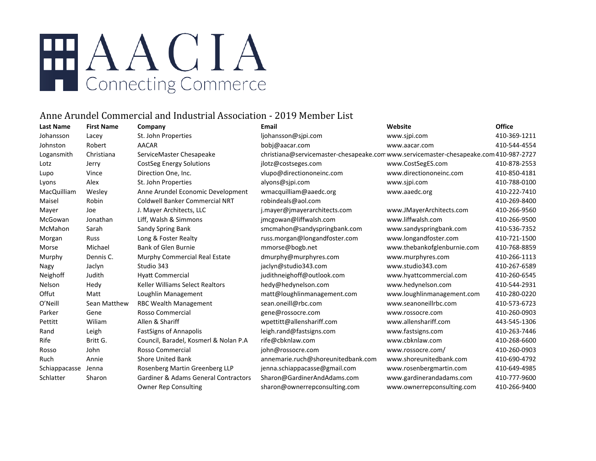# HAACIA Connecting Commerce

### Anne Arundel Commercial and Industrial Association - 2019 Member List

| <b>Last Name</b> | <b>First Name</b> | Company                                         | <b>Email</b>                                                                         | Website                     | <b>Office</b> |
|------------------|-------------------|-------------------------------------------------|--------------------------------------------------------------------------------------|-----------------------------|---------------|
| Johansson        | Lacey             | St. John Properties                             | ljohansson@sjpi.com                                                                  | www.sjpi.com                | 410-369-1211  |
| Johnston         | Robert            | <b>AACAR</b>                                    | bobj@aacar.com                                                                       | www.aacar.com               | 410-544-4554  |
| Logansmith       | Christiana        | ServiceMaster Chesapeake                        | christiana@servicemaster-chesapeake.comwww.servicemaster-chesapeake.com 410-987-2727 |                             |               |
| Lotz             | Jerry             | <b>CostSeg Energy Solutions</b>                 | jlotz@costseges.com                                                                  | www.CostSegES.com           | 410-878-2553  |
| Lupo             | Vince             | Direction One, Inc.                             | vlupo@directiononeinc.com                                                            | www.directiononeinc.com     | 410-850-4181  |
| Lyons            | Alex              | St. John Properties                             | alyons@sipi.com                                                                      | www.sjpi.com                | 410-788-0100  |
| MacQuilliam      | Wesley            | Anne Arundel Economic Development               | wmacquilliam@aaedc.org                                                               | www.aaedc.org               | 410-222-7410  |
| Maisel           | Robin             | <b>Coldwell Banker Commercial NRT</b>           | robindeals@aol.com                                                                   |                             | 410-269-8400  |
| Mayer            | Joe               | J. Mayer Architects, LLC                        | j.mayer@jmayerarchitects.com                                                         | www.JMayerArchitects.com    | 410-266-9560  |
| McGowan          | Jonathan          | Liff, Walsh & Simmons                           | jmcgowan@liffwalsh.com                                                               | www.liffwalsh.com           | 410-266-9500  |
| McMahon          | Sarah             | Sandy Spring Bank                               | smcmahon@sandyspringbank.com                                                         | www.sandyspringbank.com     | 410-536-7352  |
| Morgan           | Russ              | Long & Foster Realty                            | russ.morgan@longandfoster.com                                                        | www.longandfoster.com       | 410-721-1500  |
| Morse            | Michael           | <b>Bank of Glen Burnie</b>                      | mmorse@bogb.net                                                                      | www.thebankofglenburnie.com | 410-768-8859  |
| Murphy           | Dennis C.         | Murphy Commercial Real Estate                   | dmurphy@murphyres.com                                                                | www.murphyres.com           | 410-266-1113  |
| Nagy             | Jaclyn            | Studio 343                                      | jaclyn@studio343.com                                                                 | www.studio343.com           | 410-267-6589  |
| Neighoff         | Judith            | <b>Hyatt Commercial</b>                         | judithneighoff@outlook.com                                                           | www.hyattcommercial.com     | 410-260-6545  |
| Nelson           | Hedy              | Keller Williams Select Realtors                 | hedy@hedynelson.com                                                                  | www.hedynelson.com          | 410-544-2931  |
| Offut            | Matt              | Loughlin Management                             | matt@loughlinmanagement.com                                                          | www.loughlinmanagement.com  | 410-280-0220  |
| O'Neill          | Sean Matthew      | RBC Wealth Management                           | sean.oneill@rbc.com                                                                  | www.seanoneillrbc.com       | 410-573-6723  |
| Parker           | Gene              | Rosso Commercial                                | gene@rossocre.com                                                                    | www.rossocre.com            | 410-260-0903  |
| Pettitt          | Wiliam            | Allen & Shariff                                 | wpettitt@allenshariff.com                                                            | www.allenshariff.com        | 443-545-1306  |
| Rand             | Leigh             | <b>FastSigns of Annapolis</b>                   | leigh.rand@fastsigns.com                                                             | www.fastsigns.com           | 410-263-7446  |
| Rife             | Britt G.          | Council, Baradel, Kosmerl & Nolan P.A           | rife@cbknlaw.com                                                                     | www.cbknlaw.com             | 410-268-6600  |
| Rosso            | John              | <b>Rosso Commercial</b>                         | john@rossocre.com                                                                    | www.rossocre.com/           | 410-260-0903  |
| Ruch             | Annie             | <b>Shore United Bank</b>                        | annemarie.ruch@shoreunitedbank.com                                                   | www.shoreunitedbank.com     | 410-690-4792  |
| Schiappacasse    | Jenna             | Rosenberg Martin Greenberg LLP                  | jenna.schiappacasse@gmail.com                                                        | www.rosenbergmartin.com     | 410-649-4985  |
| Schlatter        | Sharon            | <b>Gardiner &amp; Adams General Contractors</b> | Sharon@GardinerAndAdams.com                                                          | www.gardinerandadams.com    | 410-777-9600  |
|                  |                   | <b>Owner Rep Consulting</b>                     | sharon@ownerrepconsulting.com                                                        | www.ownerrepconsulting.com  | 410-266-9400  |